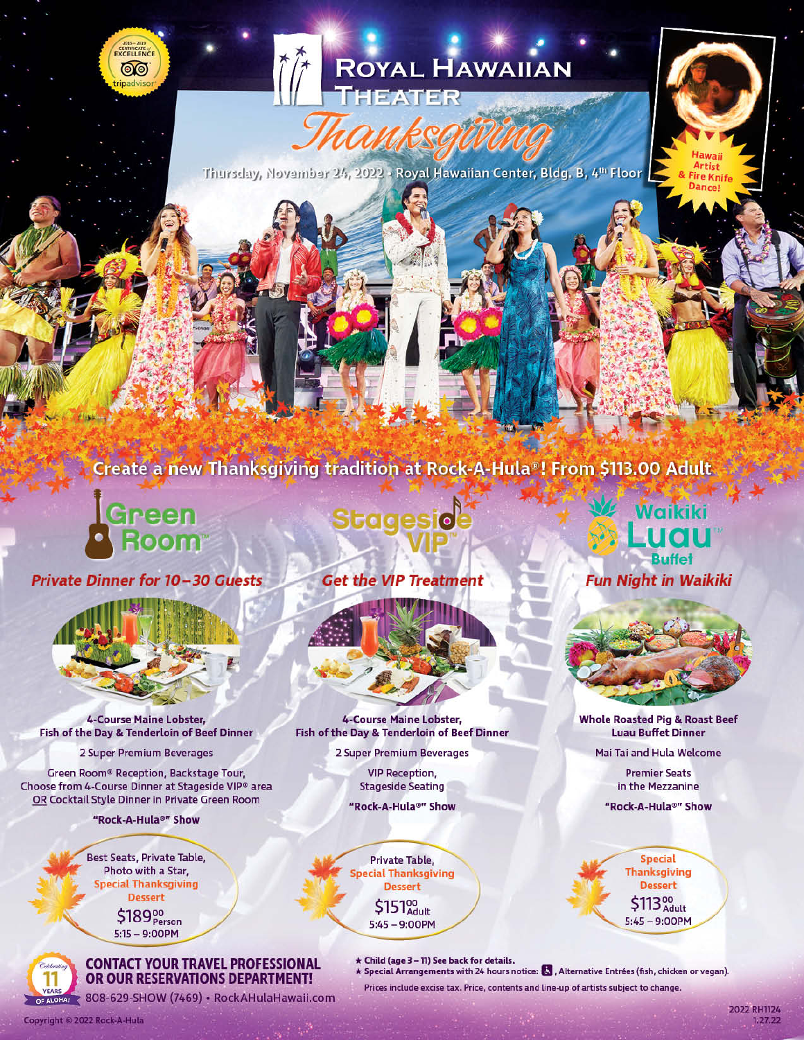

# **ROYAL HAWAIIAN**



Thursday, November 24, 2022 - Royal Hawaiian Center, Bldg. B, 4th Floor

## Create a new Thanksgiving tradition at Rock-A-Hula®! From \$113.00 Adult

Green **loom** 

Private Dinner for 10-30 Guests



4-Course Maine Lobster, Fish of the Day & Tenderloin of Beef Dinner

2 Super Premium Beverages

Green Room® Reception, Backstage Tour, Choose from 4-Course Dinner at Stageside VIP<sup>®</sup> area OR Cocktail Style Dinner in Private Green Room

"Rock-A-Hula®" Show

Best Seats, Private Table, Photo with a Star, **Special Thanksgiving Dessert** \$189<sup>00</sup><br>Person

 $5:15 - 9:00PM$ 

Copyright @ 2022 Rock-A-Hula

#### **CONTACT YOUR TRAVEL PROFESSIONAL** OR OUR RESERVATIONS DEPARTMENT!

OF ALOHAI 808-629-SHOW (7469) · Rock AHula Hawaii.com

tagesid

**Get the VIP Treatment** 



4-Course Maine Lobster. Fish of the Day & Tenderloin of Beef Dinner

**2 Super Premium Beverages** 

**VIP Reception, Stageside Seating** 

"Rock-A-Hula®" Show

Private Table, ecial Thanksgiving **Dessert** \$151%  $5:45 - 9:00$ PM

\* Child (age 3 - 11) See back for details.

\* Special Arrangements with 24 hours notice: & , Alternative Entrées (fish, chicken or vegan). Prices include excise tax. Price, contents and line-up of artists subject to change.

Jaikiki olui **Fun Night in Waikiki** 

Fire Knif



**Whole Roasted Pig & Roast Beef Luau Buffet Dinner** 

Mai Tai and Hula Welcome

**Premier Seats** in the Mezzanine

"Rock-A-Hula<sup>®"</sup> Show

**Special Thanksgiving Dessert** \$11300<sub>Adult</sub>  $5:45 - 9:00$ PM